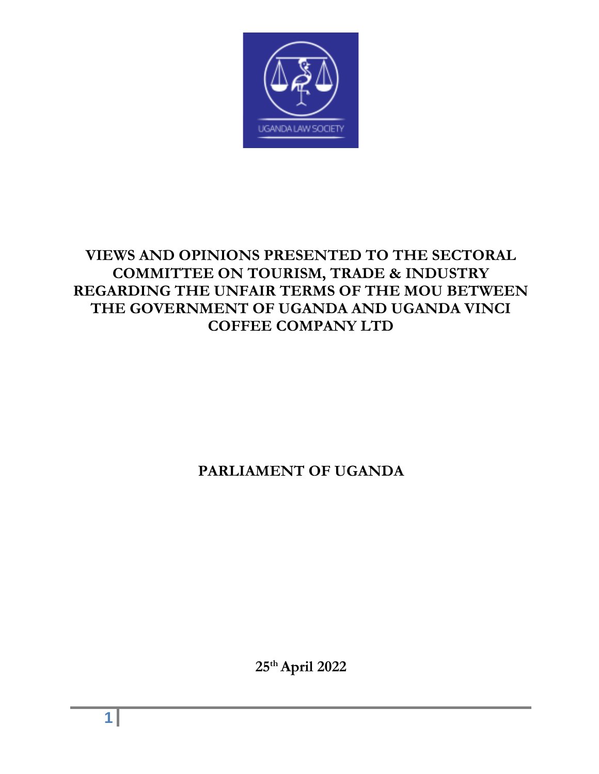

# **VIEWS AND OPINIONS PRESENTED TO THE SECTORAL COMMITTEE ON TOURISM, TRADE & INDUSTRY REGARDING THE UNFAIR TERMS OF THE MOU BETWEEN THE GOVERNMENT OF UGANDA AND UGANDA VINCI COFFEE COMPANY LTD**

# **PARLIAMENT OF UGANDA**

**25th April 2022**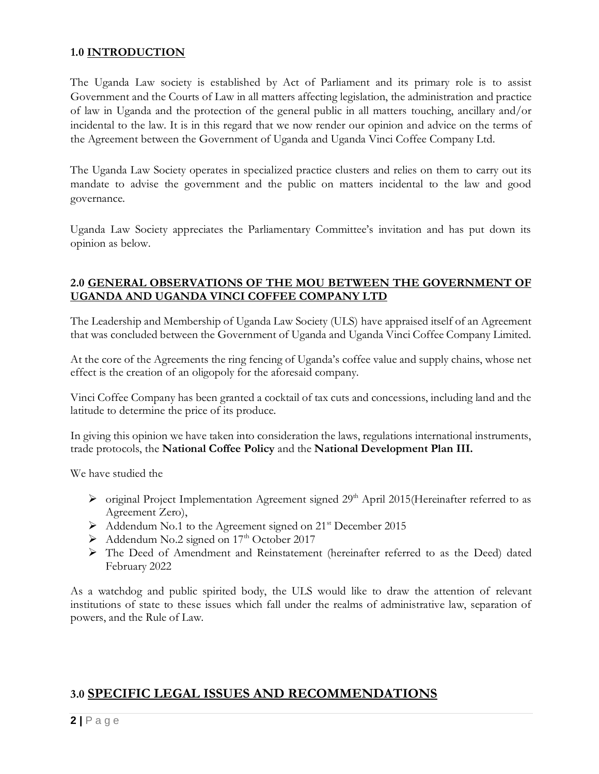#### **1.0 INTRODUCTION**

The Uganda Law society is established by Act of Parliament and its primary role is to assist Government and the Courts of Law in all matters affecting legislation, the administration and practice of law in Uganda and the protection of the general public in all matters touching, ancillary and/or incidental to the law. It is in this regard that we now render our opinion and advice on the terms of the Agreement between the Government of Uganda and Uganda Vinci Coffee Company Ltd.

The Uganda Law Society operates in specialized practice clusters and relies on them to carry out its mandate to advise the government and the public on matters incidental to the law and good governance.

Uganda Law Society appreciates the Parliamentary Committee's invitation and has put down its opinion as below.

#### **2.0 GENERAL OBSERVATIONS OF THE MOU BETWEEN THE GOVERNMENT OF UGANDA AND UGANDA VINCI COFFEE COMPANY LTD**

The Leadership and Membership of Uganda Law Society (ULS) have appraised itself of an Agreement that was concluded between the Government of Uganda and Uganda Vinci Coffee Company Limited.

At the core of the Agreements the ring fencing of Uganda's coffee value and supply chains, whose net effect is the creation of an oligopoly for the aforesaid company.

Vinci Coffee Company has been granted a cocktail of tax cuts and concessions, including land and the latitude to determine the price of its produce.

In giving this opinion we have taken into consideration the laws, regulations international instruments, trade protocols, the **National Coffee Policy** and the **National Development Plan III.**

We have studied the

- $\triangleright$  original Project Implementation Agreement signed 29<sup>th</sup> April 2015(Hereinafter referred to as Agreement Zero),
- ➢ Addendum No.1 to the Agreement signed on 21st December 2015
- ➢ Addendum No.2 signed on 17th October 2017
- ➢ The Deed of Amendment and Reinstatement (hereinafter referred to as the Deed) dated February 2022

As a watchdog and public spirited body, the ULS would like to draw the attention of relevant institutions of state to these issues which fall under the realms of administrative law, separation of powers, and the Rule of Law.

# **3.0 SPECIFIC LEGAL ISSUES AND RECOMMENDATIONS**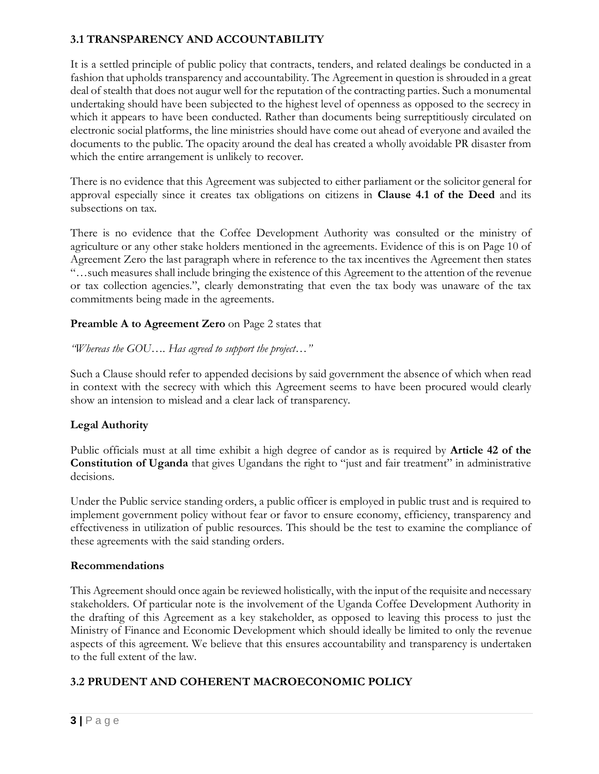## **3.1 TRANSPARENCY AND ACCOUNTABILITY**

It is a settled principle of public policy that contracts, tenders, and related dealings be conducted in a fashion that upholds transparency and accountability. The Agreement in question is shrouded in a great deal of stealth that does not augur well for the reputation of the contracting parties. Such a monumental undertaking should have been subjected to the highest level of openness as opposed to the secrecy in which it appears to have been conducted. Rather than documents being surreptitiously circulated on electronic social platforms, the line ministries should have come out ahead of everyone and availed the documents to the public. The opacity around the deal has created a wholly avoidable PR disaster from which the entire arrangement is unlikely to recover.

There is no evidence that this Agreement was subjected to either parliament or the solicitor general for approval especially since it creates tax obligations on citizens in **Clause 4.1 of the Deed** and its subsections on tax.

There is no evidence that the Coffee Development Authority was consulted or the ministry of agriculture or any other stake holders mentioned in the agreements. Evidence of this is on Page 10 of Agreement Zero the last paragraph where in reference to the tax incentives the Agreement then states "…such measures shall include bringing the existence of this Agreement to the attention of the revenue or tax collection agencies.", clearly demonstrating that even the tax body was unaware of the tax commitments being made in the agreements.

#### **Preamble A to Agreement Zero** on Page 2 states that

*"Whereas the GOU…. Has agreed to support the project…"*

Such a Clause should refer to appended decisions by said government the absence of which when read in context with the secrecy with which this Agreement seems to have been procured would clearly show an intension to mislead and a clear lack of transparency.

## **Legal Authority**

Public officials must at all time exhibit a high degree of candor as is required by **Article 42 of the Constitution of Uganda** that gives Ugandans the right to "just and fair treatment" in administrative decisions.

Under the Public service standing orders, a public officer is employed in public trust and is required to implement government policy without fear or favor to ensure economy, efficiency, transparency and effectiveness in utilization of public resources. This should be the test to examine the compliance of these agreements with the said standing orders.

#### **Recommendations**

This Agreement should once again be reviewed holistically, with the input of the requisite and necessary stakeholders. Of particular note is the involvement of the Uganda Coffee Development Authority in the drafting of this Agreement as a key stakeholder, as opposed to leaving this process to just the Ministry of Finance and Economic Development which should ideally be limited to only the revenue aspects of this agreement. We believe that this ensures accountability and transparency is undertaken to the full extent of the law.

## **3.2 PRUDENT AND COHERENT MACROECONOMIC POLICY**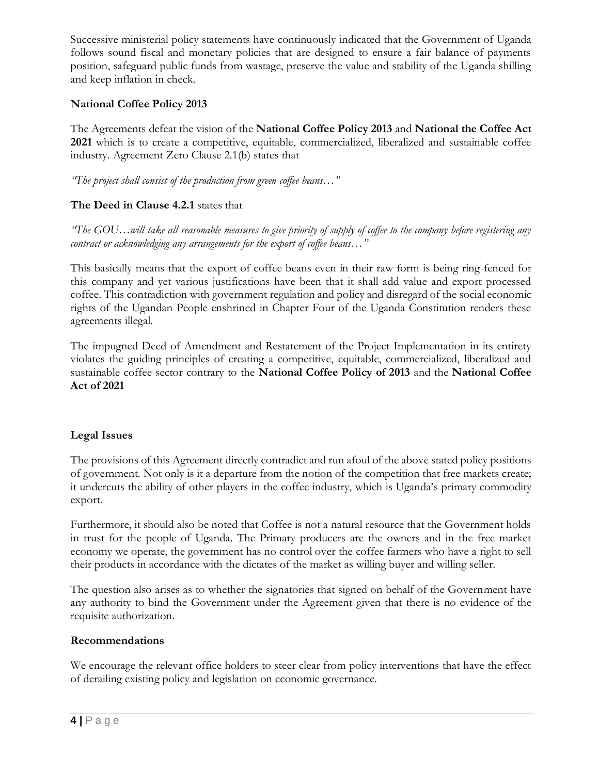Successive ministerial policy statements have continuously indicated that the Government of Uganda follows sound fiscal and monetary policies that are designed to ensure a fair balance of payments position, safeguard public funds from wastage, preserve the value and stability of the Uganda shilling and keep inflation in check.

## **National Coffee Policy 2013**

The Agreements defeat the vision of the **National Coffee Policy 2013** and **National the Coffee Act 2021** which is to create a competitive, equitable, commercialized, liberalized and sustainable coffee industry. Agreement Zero Clause 2.1(b) states that

*"The project shall consist of the production from green coffee beans…"*

## **The Deed in Clause 4.2.1** states that

*"The GOU…will take all reasonable measures to give priority of supply of coffee to the company before registering any contract or acknowledging any arrangements for the export of coffee beans…"*

This basically means that the export of coffee beans even in their raw form is being ring-fenced for this company and yet various justifications have been that it shall add value and export processed coffee. This contradiction with government regulation and policy and disregard of the social economic rights of the Ugandan People enshrined in Chapter Four of the Uganda Constitution renders these agreements illegal.

The impugned Deed of Amendment and Restatement of the Project Implementation in its entirety violates the guiding principles of creating a competitive, equitable, commercialized, liberalized and sustainable coffee sector contrary to the **National Coffee Policy of 2013** and the **National Coffee Act of 2021**

#### **Legal Issues**

The provisions of this Agreement directly contradict and run afoul of the above stated policy positions of government. Not only is it a departure from the notion of the competition that free markets create; it undercuts the ability of other players in the coffee industry, which is Uganda's primary commodity export.

Furthermore, it should also be noted that Coffee is not a natural resource that the Government holds in trust for the people of Uganda. The Primary producers are the owners and in the free market economy we operate, the government has no control over the coffee farmers who have a right to sell their products in accordance with the dictates of the market as willing buyer and willing seller.

The question also arises as to whether the signatories that signed on behalf of the Government have any authority to bind the Government under the Agreement given that there is no evidence of the requisite authorization.

#### **Recommendations**

We encourage the relevant office holders to steer clear from policy interventions that have the effect of derailing existing policy and legislation on economic governance.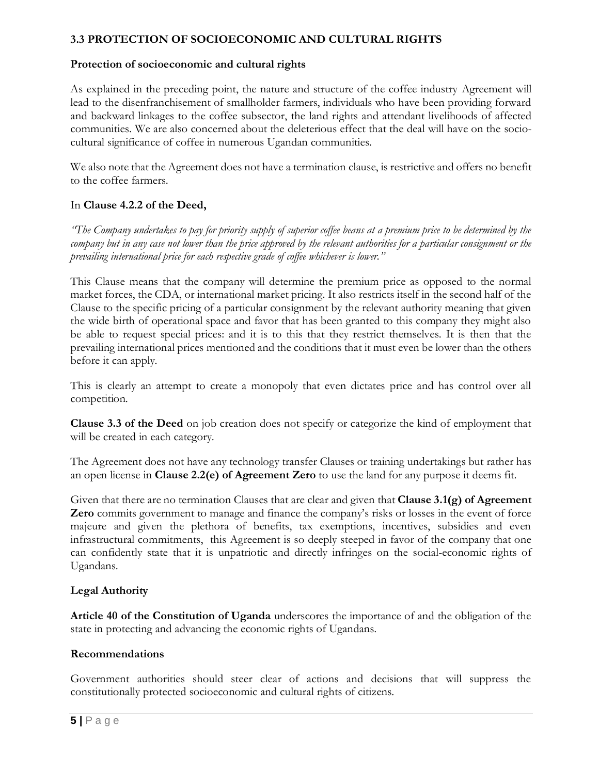## **3.3 PROTECTION OF SOCIOECONOMIC AND CULTURAL RIGHTS**

#### **Protection of socioeconomic and cultural rights**

As explained in the preceding point, the nature and structure of the coffee industry Agreement will lead to the disenfranchisement of smallholder farmers, individuals who have been providing forward and backward linkages to the coffee subsector, the land rights and attendant livelihoods of affected communities. We are also concerned about the deleterious effect that the deal will have on the sociocultural significance of coffee in numerous Ugandan communities.

We also note that the Agreement does not have a termination clause, is restrictive and offers no benefit to the coffee farmers.

#### In **Clause 4.2.2 of the Deed,**

*"The Company undertakes to pay for priority supply of superior coffee beans at a premium price to be determined by the company but in any case not lower than the price approved by the relevant authorities for a particular consignment or the prevailing international price for each respective grade of coffee whichever is lower."*

This Clause means that the company will determine the premium price as opposed to the normal market forces, the CDA, or international market pricing. It also restricts itself in the second half of the Clause to the specific pricing of a particular consignment by the relevant authority meaning that given the wide birth of operational space and favor that has been granted to this company they might also be able to request special prices: and it is to this that they restrict themselves. It is then that the prevailing international prices mentioned and the conditions that it must even be lower than the others before it can apply.

This is clearly an attempt to create a monopoly that even dictates price and has control over all competition.

**Clause 3.3 of the Deed** on job creation does not specify or categorize the kind of employment that will be created in each category.

The Agreement does not have any technology transfer Clauses or training undertakings but rather has an open license in **Clause 2.2(e) of Agreement Zero** to use the land for any purpose it deems fit.

Given that there are no termination Clauses that are clear and given that **Clause 3.1(g) of Agreement Zero** commits government to manage and finance the company's risks or losses in the event of force majeure and given the plethora of benefits, tax exemptions, incentives, subsidies and even infrastructural commitments, this Agreement is so deeply steeped in favor of the company that one can confidently state that it is unpatriotic and directly infringes on the social-economic rights of Ugandans.

## **Legal Authority**

**Article 40 of the Constitution of Uganda** underscores the importance of and the obligation of the state in protecting and advancing the economic rights of Ugandans.

#### **Recommendations**

Government authorities should steer clear of actions and decisions that will suppress the constitutionally protected socioeconomic and cultural rights of citizens.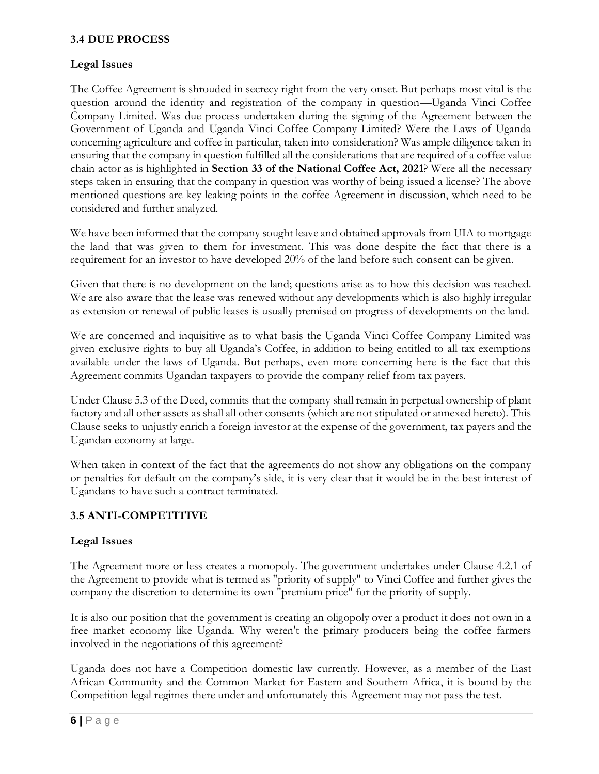## **3.4 DUE PROCESS**

## **Legal Issues**

The Coffee Agreement is shrouded in secrecy right from the very onset. But perhaps most vital is the question around the identity and registration of the company in question—Uganda Vinci Coffee Company Limited. Was due process undertaken during the signing of the Agreement between the Government of Uganda and Uganda Vinci Coffee Company Limited? Were the Laws of Uganda concerning agriculture and coffee in particular, taken into consideration? Was ample diligence taken in ensuring that the company in question fulfilled all the considerations that are required of a coffee value chain actor as is highlighted in **Section 33 of the National Coffee Act, 2021**? Were all the necessary steps taken in ensuring that the company in question was worthy of being issued a license? The above mentioned questions are key leaking points in the coffee Agreement in discussion, which need to be considered and further analyzed.

We have been informed that the company sought leave and obtained approvals from UIA to mortgage the land that was given to them for investment. This was done despite the fact that there is a requirement for an investor to have developed 20% of the land before such consent can be given.

Given that there is no development on the land; questions arise as to how this decision was reached. We are also aware that the lease was renewed without any developments which is also highly irregular as extension or renewal of public leases is usually premised on progress of developments on the land.

We are concerned and inquisitive as to what basis the Uganda Vinci Coffee Company Limited was given exclusive rights to buy all Uganda's Coffee, in addition to being entitled to all tax exemptions available under the laws of Uganda. But perhaps, even more concerning here is the fact that this Agreement commits Ugandan taxpayers to provide the company relief from tax payers.

Under Clause 5.3 of the Deed, commits that the company shall remain in perpetual ownership of plant factory and all other assets as shall all other consents (which are not stipulated or annexed hereto). This Clause seeks to unjustly enrich a foreign investor at the expense of the government, tax payers and the Ugandan economy at large.

When taken in context of the fact that the agreements do not show any obligations on the company or penalties for default on the company's side, it is very clear that it would be in the best interest of Ugandans to have such a contract terminated.

# **3.5 ANTI-COMPETITIVE**

## **Legal Issues**

The Agreement more or less creates a monopoly. The government undertakes under Clause 4.2.1 of the Agreement to provide what is termed as "priority of supply" to Vinci Coffee and further gives the company the discretion to determine its own "premium price" for the priority of supply.

It is also our position that the government is creating an oligopoly over a product it does not own in a free market economy like Uganda. Why weren't the primary producers being the coffee farmers involved in the negotiations of this agreement?

Uganda does not have a Competition domestic law currently. However, as a member of the East African Community and the Common Market for Eastern and Southern Africa, it is bound by the Competition legal regimes there under and unfortunately this Agreement may not pass the test.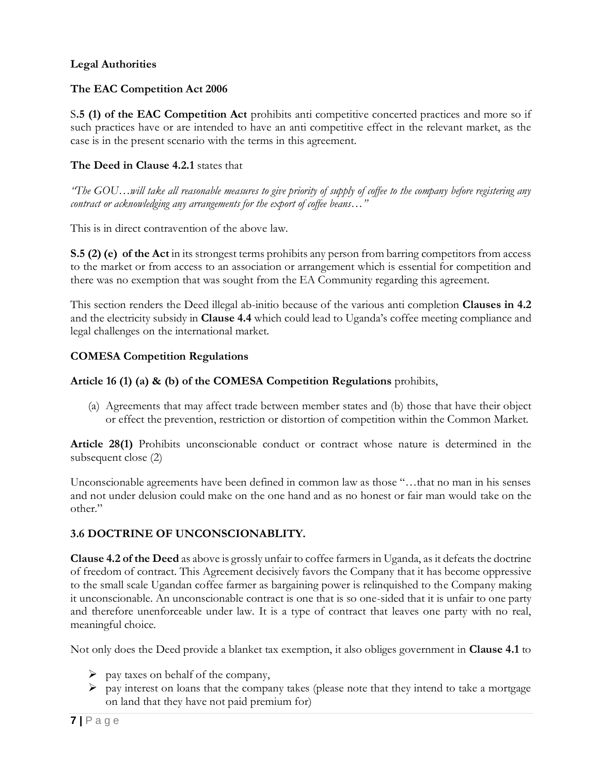## **Legal Authorities**

## **The EAC Competition Act 2006**

S**.5 (1) of the EAC Competition Act** prohibits anti competitive concerted practices and more so if such practices have or are intended to have an anti competitive effect in the relevant market, as the case is in the present scenario with the terms in this agreement.

#### **The Deed in Clause 4.2.1** states that

*"The GOU…will take all reasonable measures to give priority of supply of coffee to the company before registering any contract or acknowledging any arrangements for the export of coffee beans…"*

This is in direct contravention of the above law.

**S.5 (2) (e) of the Act** in its strongest terms prohibits any person from barring competitors from access to the market or from access to an association or arrangement which is essential for competition and there was no exemption that was sought from the EA Community regarding this agreement.

This section renders the Deed illegal ab-initio because of the various anti completion **Clauses in 4.2** and the electricity subsidy in **Clause 4.4** which could lead to Uganda's coffee meeting compliance and legal challenges on the international market.

#### **COMESA Competition Regulations**

#### **Article 16 (1) (a) & (b) of the COMESA Competition Regulations** prohibits,

(a) Agreements that may affect trade between member states and (b) those that have their object or effect the prevention, restriction or distortion of competition within the Common Market.

**Article 28(1)** Prohibits unconscionable conduct or contract whose nature is determined in the subsequent close (2)

Unconscionable agreements have been defined in common law as those "…that no man in his senses and not under delusion could make on the one hand and as no honest or fair man would take on the other."

## **3.6 DOCTRINE OF UNCONSCIONABLITY.**

**Clause 4.2 of the Deed** as above is grossly unfair to coffee farmers in Uganda, as it defeats the doctrine of freedom of contract. This Agreement decisively favors the Company that it has become oppressive to the small scale Ugandan coffee farmer as bargaining power is relinquished to the Company making it unconscionable. An unconscionable contract is one that is so one-sided that it is unfair to one party and therefore unenforceable under law. It is a type of contract that leaves one party with no real, meaningful choice.

Not only does the Deed provide a blanket tax exemption, it also obliges government in **Clause 4.1** to

- $\triangleright$  pay taxes on behalf of the company,
- $\triangleright$  pay interest on loans that the company takes (please note that they intend to take a mortgage on land that they have not paid premium for)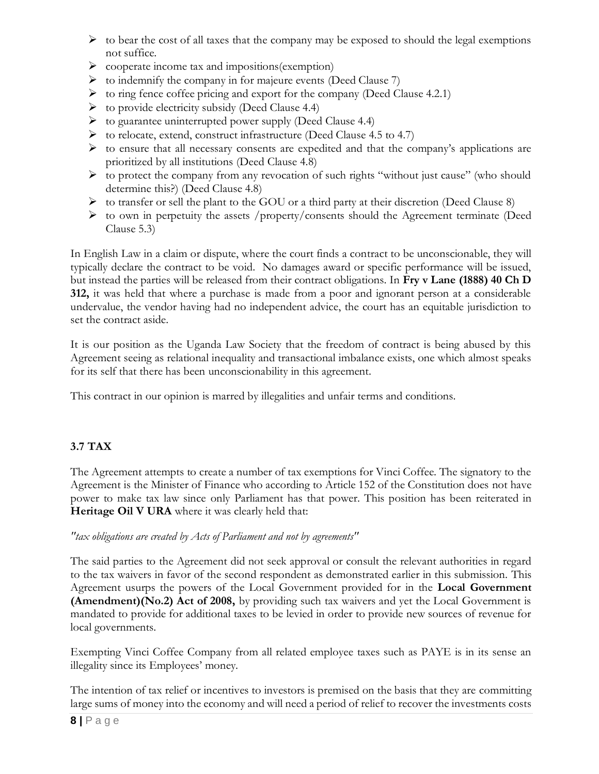- $\triangleright$  to bear the cost of all taxes that the company may be exposed to should the legal exemptions not suffice.
- ➢ cooperate income tax and impositions(exemption)
- ➢ to indemnify the company in for majeure events (Deed Clause 7)
- $\triangleright$  to ring fence coffee pricing and export for the company (Deed Clause 4.2.1)
- $\triangleright$  to provide electricity subsidy (Deed Clause 4.4)
- ➢ to guarantee uninterrupted power supply (Deed Clause 4.4)
- ➢ to relocate, extend, construct infrastructure (Deed Clause 4.5 to 4.7)
- ➢ to ensure that all necessary consents are expedited and that the company's applications are prioritized by all institutions (Deed Clause 4.8)
- ➢ to protect the company from any revocation of such rights "without just cause" (who should determine this?) (Deed Clause 4.8)
- $\triangleright$  to transfer or sell the plant to the GOU or a third party at their discretion (Deed Clause 8)
- ➢ to own in perpetuity the assets /property/consents should the Agreement terminate (Deed Clause 5.3)

In English Law in a claim or dispute, where the court finds a contract to be unconscionable, they will typically declare the contract to be void. No damages award or specific performance will be issued, but instead the parties will be released from their contract obligations. In **Fry v Lane (1888) 40 Ch D 312,** it was held that where a purchase is made from a poor and ignorant person at a considerable undervalue, the vendor having had no independent advice, the court has an equitable jurisdiction to set the contract aside.

It is our position as the Uganda Law Society that the freedom of contract is being abused by this Agreement seeing as relational inequality and transactional imbalance exists, one which almost speaks for its self that there has been unconscionability in this agreement.

This contract in our opinion is marred by illegalities and unfair terms and conditions.

# **3.7 TAX**

The Agreement attempts to create a number of tax exemptions for Vinci Coffee. The signatory to the Agreement is the Minister of Finance who according to Article 152 of the Constitution does not have power to make tax law since only Parliament has that power. This position has been reiterated in **Heritage Oil V URA** where it was clearly held that:

## *"tax obligations are created by Acts of Parliament and not by agreements"*

The said parties to the Agreement did not seek approval or consult the relevant authorities in regard to the tax waivers in favor of the second respondent as demonstrated earlier in this submission. This Agreement usurps the powers of the Local Government provided for in the **Local Government (Amendment)(No.2) Act of 2008,** by providing such tax waivers and yet the Local Government is mandated to provide for additional taxes to be levied in order to provide new sources of revenue for local governments.

Exempting Vinci Coffee Company from all related employee taxes such as PAYE is in its sense an illegality since its Employees' money.

The intention of tax relief or incentives to investors is premised on the basis that they are committing large sums of money into the economy and will need a period of relief to recover the investments costs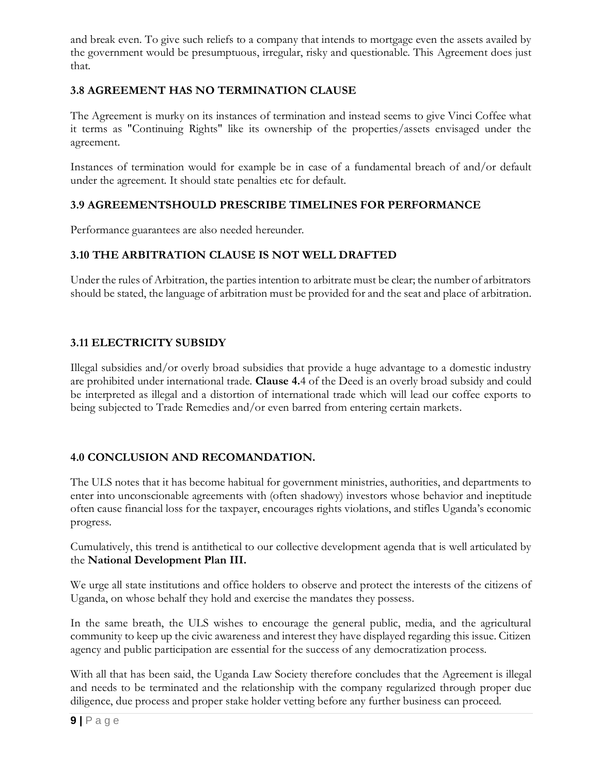and break even. To give such reliefs to a company that intends to mortgage even the assets availed by the government would be presumptuous, irregular, risky and questionable. This Agreement does just that.

# **3.8 AGREEMENT HAS NO TERMINATION CLAUSE**

The Agreement is murky on its instances of termination and instead seems to give Vinci Coffee what it terms as "Continuing Rights" like its ownership of the properties/assets envisaged under the agreement.

Instances of termination would for example be in case of a fundamental breach of and/or default under the agreement. It should state penalties etc for default.

# **3.9 AGREEMENTSHOULD PRESCRIBE TIMELINES FOR PERFORMANCE**

Performance guarantees are also needed hereunder.

# **3.10 THE ARBITRATION CLAUSE IS NOT WELL DRAFTED**

Under the rules of Arbitration, the parties intention to arbitrate must be clear; the number of arbitrators should be stated, the language of arbitration must be provided for and the seat and place of arbitration.

# **3.11 ELECTRICITY SUBSIDY**

Illegal subsidies and/or overly broad subsidies that provide a huge advantage to a domestic industry are prohibited under international trade. **Clause 4.**4 of the Deed is an overly broad subsidy and could be interpreted as illegal and a distortion of international trade which will lead our coffee exports to being subjected to Trade Remedies and/or even barred from entering certain markets.

# **4.0 CONCLUSION AND RECOMANDATION.**

The ULS notes that it has become habitual for government ministries, authorities, and departments to enter into unconscionable agreements with (often shadowy) investors whose behavior and ineptitude often cause financial loss for the taxpayer, encourages rights violations, and stifles Uganda's economic progress.

Cumulatively, this trend is antithetical to our collective development agenda that is well articulated by the **National Development Plan III.**

We urge all state institutions and office holders to observe and protect the interests of the citizens of Uganda, on whose behalf they hold and exercise the mandates they possess.

In the same breath, the ULS wishes to encourage the general public, media, and the agricultural community to keep up the civic awareness and interest they have displayed regarding this issue. Citizen agency and public participation are essential for the success of any democratization process.

With all that has been said, the Uganda Law Society therefore concludes that the Agreement is illegal and needs to be terminated and the relationship with the company regularized through proper due diligence, due process and proper stake holder vetting before any further business can proceed.